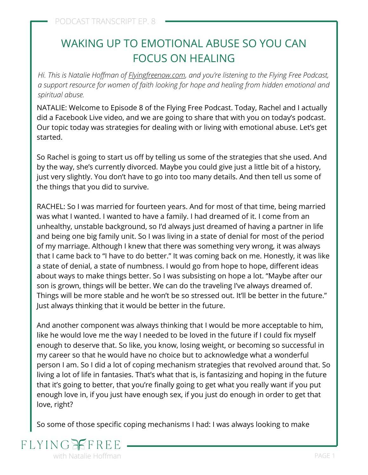# WAKING UP TO EMOTIONAL ABUSE SO YOU CAN FOCUS ON HEALING

*Hi. This is Natalie Hoffman of [Flyingfreenow.com](http://flyingfreenow.com/), and you're listening to the Flying Free Podcast, a support resource for women of faith looking for hope and healing from hidden emotional and spiritual abuse.*

NATALIE: Welcome to Episode 8 of the Flying Free Podcast. Today, Rachel and I actually did a [Facebook Live video,](https://www.facebook.com/flyingfreenow/videos/395798861175132) and we are going to share that with you on today's podcast. Our topic today was strategies for dealing with or living with emotional abuse. Let's get started.

So Rachel is going to start us off by telling us some of the strategies that she used. And by the way, she's currently divorced. Maybe you could give just a little bit of a history, just very slightly. You don't have to go into too many details. And then tell us some of the things that you did to survive.

RACHEL: So I was married for fourteen years. And for most of that time, being married was what I wanted. I wanted to have a family. I had dreamed of it. I come from an [unhealthy, unstable background,](https://www.flyingfreenow.com/32-2/) so I'd always just dreamed of having a partner in life and being one big family unit. So I was living in a state of denial for most of the period of my marriage. Although I knew that there was something very wrong, it was always that I came back to "I have to do better." It was coming back on me. Honestly, it was like a state of denial, a state of numbness. I would go from hope to hope, different ideas about ways to make things better. So I was subsisting on hope a lot. "Maybe after our son is grown, things will be better. We can do the traveling I've always dreamed of. Things will be more stable and he won't be so stressed out. It'll be better in the future." Just always thinking that it would be better in the future.

And another component was always thinking that I would be more acceptable to him, like he would love me the way I needed to be loved in the future if I could fix myself enough to deserve that. So like, you know, losing weight, or becoming so successful in my career so that he would have no choice but to acknowledge what a wonderful person I am. So I did a lot of coping mechanism strategies that revolved around that. So living a lot of life in fantasies. That's what that is, is fantasizing and hoping in the future that it's going to better, that you're finally going to get what you really want if you put enough love in, if you just have enough sex, if you just do enough in order to get that love, right?

So some of those specific coping mechanisms I had: I was always looking to make

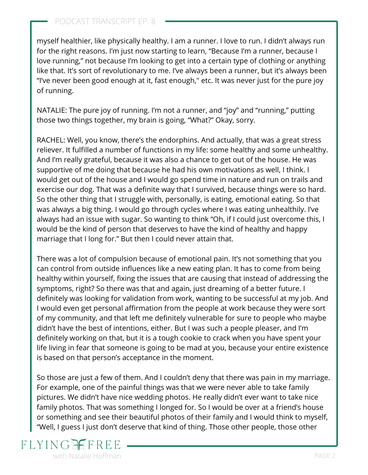myself healthier, like physically healthy. I am a runner. I love to run. I didn't always run for the right reasons. I'm just now starting to learn, "Because I'm a runner, because I love running," not because I'm looking to get into a certain type of clothing or anything like that. It's sort of revolutionary to me. I've always been a runner, but it's always been "I've never been good enough at it, fast enough," etc. It was never just for the pure joy of running.

NATALIE: The pure joy of running. I'm not a runner, and "joy" and "running," putting those two things together, my brain is going, "What?" Okay, sorry.

RACHEL: Well, you know, there's the endorphins. And actually, that was a great stress reliever. It fulfilled a number of functions in my life: some healthy and some unhealthy. And I'm really grateful, because it was also a chance to get out of the house. He was supportive of me doing that because he had his own motivations as well, I think. I would get out of the house and I would go spend time in nature and run on trails and exercise our dog. That was a definite way that I survived, because things were so hard. So the other thing that I struggle with, personally, is eating, emotional eating. So that was always a big thing. I would go through cycles where I was eating unhealthily. I've always had an issue with sugar. So wanting to think "Oh, if I could just overcome this, I would be the kind of person that deserves to have the kind of healthy and happy marriage that I long for." But then I could never attain that.

There was a lot of compulsion because of emotional pain. It's not something that you can control from outside influences like a new eating plan. It has to come from being healthy within yourself, fixing the issues that are causing that instead of addressing the symptoms, right? So there was that and again, just dreaming of a better future. I definitely was looking for validation from work, wanting to be successful at my job. And I would even get personal affirmation from the people at work because they were sort of my community, and that left me definitely vulnerable for sure to people who maybe didn't have the best of intentions, either. But [I was such a people pleaser,](https://www.flyingfreenow.com/why-christian-women-are-conditioned-to-be-people-pleasers-and-how-they-can-break-free/) and I'm definitely working on that, but it is a tough cookie to crack when you have spent your life living in fear that someone is going to be mad at you, because your entire existence is based on that person's acceptance in the moment.

So those are just a few of them. And I couldn't deny that there was pain in my marriage. For example, one of the painful things was that we were never able to take family pictures. We didn't have nice wedding photos. He really didn't ever want to take nice family photos. That was something I longed for. So I would be over at a friend's house or something and see their beautiful photos of their family and I would think to myself, "Well, I guess I just don't deserve that kind of thing. Those other people, those other

## FLYING with Natalie Hoffman **PAGE 2** and 2 and 2 and 2 and 2 and 2 and 2 and 2 and 2 and 2 and 2 and 2 and 2 and 2 and 2 and 2 and 2 and 2 and 2 and 2 and 2 and 2 and 2 and 2 and 2 and 2 and 2 and 2 and 2 and 2 and 2 and 2 and 2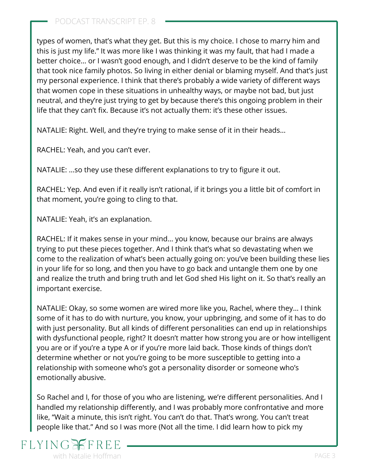types of women, that's what they get. But this is my choice. I chose to marry him and this is just my life." It was more like I was thinking it was my fault, that had I made a better choice… or I wasn't good enough, and I didn't deserve to be the kind of family that took nice family photos. So living in either denial or blaming myself. And that's just my personal experience. I think that there's probably a wide variety of different ways that women cope in these situations in unhealthy ways, or maybe not bad, but just neutral, and they're just trying to get by because there's this ongoing problem in their life that they can't fix. Because it's not actually them: it's these other issues.

NATALIE: Right. Well, and they're trying to make sense of it in their heads…

RACHEL: Yeah, and you can't ever.

NATALIE: …so they use these different explanations to try to figure it out.

RACHEL: Yep. And even if it really isn't rational, if it brings you a little bit of comfort in that moment, you're going to cling to that.

NATALIE: Yeah, it's an explanation.

RACHEL: If it makes sense in your mind… you know, because our brains are always trying to put these pieces together. And I think that's what so devastating when we come to the realization of what's been actually going on: you've been building these lies in your life for so long, and then you have to go back and untangle them one by one and realize the truth and bring truth and let God shed His light on it. So that's really an important exercise.

NATALIE: Okay, so some women are wired more like you, Rachel, where they… I think some of it has to do with nurture, you know, your upbringing, and some of it has to do with just personality. But all kinds of different personalities can end up in relationships with dysfunctional people, right? It doesn't matter how strong you are or how intelligent you are or if you're a type A or if you're more laid back. Those kinds of things don't determine whether or not you're going to be more susceptible to getting into a relationship with someone who's got a personality disorder or someone who's emotionally abusive.

So Rachel and I, for those of you who are listening, we're different personalities. And I handled my relationship differently, and I was probably more confrontative and more like, "Wait a minute, this isn't right. You can't do that. That's wrong. You can't treat people like that." And so I was more (Not all the time. I did learn how to pick my

## $FLYIN$ with Natalie Hoffman **PAGE 3** and the set of the set of the set of the set of the set of the set of the set of the set of the set of the set of the set of the set of the set of the set of the set of the set of the set of t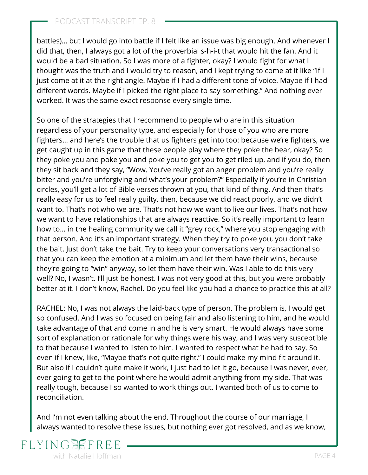battles)… but I would go into battle if I felt like an issue was big enough. And whenever I did that, then, I always got a lot of the proverbial s-h-i-t that would hit the fan. And it would be a bad situation. So I was more of a fighter, okay? I would fight for what I thought was the truth and I would try to reason, and I kept trying to come at it like "If I just come at it at the right angle. Maybe if I had a different tone of voice. Maybe if I had different words. Maybe if I picked the right place to say something." And nothing ever worked. It was the same exact response every single time.

So one of the strategies that I recommend to people who are in this situation regardless of your personality type, and especially for those of you who are more fighters… and here's the trouble that us fighters get into too: because we're fighters, we get caught up in this game that these people play where they poke the bear, okay? So they poke you and poke you and poke you to get you to get riled up, and if you do, then they sit back and they say, "Wow. You've really got an anger problem and you're really bitter and you're unforgiving and what's your problem?" Especially if you're in Christian circles, you'll get a lot of Bible verses thrown at you, that kind of thing. And then that's really easy for us to feel really guilty, then, because we did react poorly, and we didn't want to. That's not who we are. That's not how we want to live our lives. That's not how we want to have relationships that are always reactive. So it's really important to learn how to… in the healing community we call it "[grey rock](https://www.flyingfreenow.com/lets-learn-the-duck-duck-grey-rock-game/)," where you stop engaging with that person. And it's an important strategy. When they try to poke you, you don't take the bait. Just don't take the bait. Try to keep your conversations very transactional so that you can keep the emotion at a minimum and let them have their wins, because they're going to "win" anyway, so let them have their win. Was I able to do this very well? No, I wasn't. I'll just be honest. I was not very good at this, but you were probably better at it. I don't know, Rachel. Do you feel like you had a chance to practice this at all?

RACHEL: No, I was not always the laid-back type of person. The problem is, I would get so confused. And I was so focused on being fair and also listening to him, and he would take advantage of that and come in and he is very smart. He would always have some sort of explanation or rationale for why things were his way, and I was very susceptible to that because I wanted to listen to him. I wanted to respect what he had to say. So even if I knew, like, "Maybe that's not quite right," I could make my mind fit around it. But also if I couldn't quite make it work, I just had to let it go, because I was never, ever, ever going to get to the point where he would admit anything from my side. That was really tough, because I so wanted to work things out. I wanted both of us to come to reconciliation.

And I'm not even talking about the end. Throughout the course of our marriage, I always wanted to resolve these issues, but nothing ever got resolved, and as we know,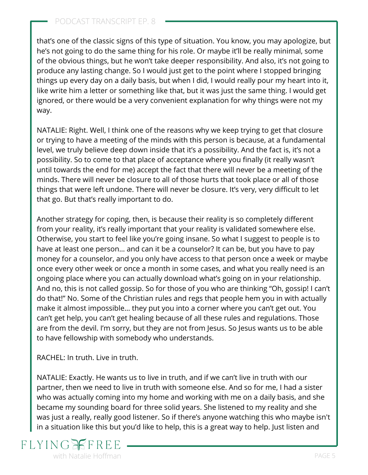that's one of the classic signs of this type of situation. You know, you may apologize, but he's not going to do the same thing for his role. Or maybe it'll be really minimal, some of the obvious things, but [he won't take deeper responsibility.](https://www.flyingfreenow.com/sign-of-emotionally-abusive-relationship/) And also, it's not going to produce any lasting change. So I would just get to the point where I stopped bringing things up every day on a daily basis, but when I did, I would really pour my heart into it, like write him a letter or something like that, but it was just the same thing. I would get ignored, or there would be a very convenient explanation for why things were not my way.

NATALIE: Right. Well, I think one of the reasons why we keep trying to get that closure or trying to have a meeting of the minds with this person is because, at a fundamental level, we truly believe deep down inside that it's a possibility. And the fact is, it's not a possibility. So to come to that place of acceptance where you finally (it really wasn't until towards the end for me) accept the fact that there will never be a meeting of the minds. There will never be closure to all of those hurts that took place or all of those things that were left undone. There will never be closure. It's very, very difficult to let that go. But that's really important to do.

Another strategy for coping, then, is because their reality is so completely different from your reality, it's really important that your reality is validated somewhere else. Otherwise, you start to feel like you're going insane. So what I suggest to people is to have at least one person… and can it be a counselor? It can be, but you have to pay money for a counselor, and you only have access to that person once a week or maybe once every other week or once a month in some cases, and what you really need is an ongoing place where you can actually download what's going on in your relationship. And no, this is not called gossip. So for those of you who are thinking "Oh, gossip! I can't do that!" No. Some of the Christian rules and regs that people hem you in with actually make it almost impossible… they put you into a corner where you can't get out. You can't get help, you can't get healing because of all these rules and regulations. Those are from the devil. I'm sorry, but they are not from Jesus. So Jesus wants us to be able to have fellowship with somebody who understands.

RACHEL: In truth. Live in truth.

NATALIE: Exactly. He wants us to live in truth, and if we can't live in truth with our partner, then we need to live in truth with someone else. And so for me, I had a sister who was actually coming into my home and working with me on a daily basis, and she became my sounding board for three solid years. She listened to my reality and she was just a really, really good listener. So if there's anyone watching this who maybe isn't in a situation like this but you'd like to help, this is a great way to help. Just listen and

## **FLYING** with Natalie Hoffman **PAGE 5** and the set of the set of the set of the set of the set of the set of the set of the set of the set of the set of the set of the set of the set of the set of the set of the set of the set of t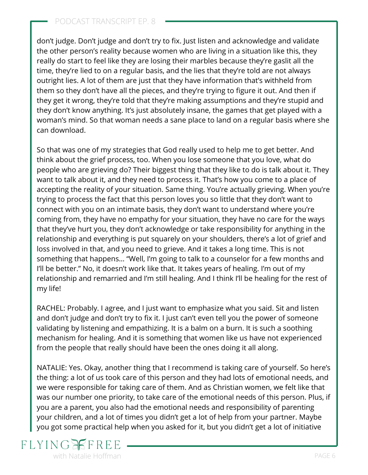### PODCAST TRANSCRIPT EP. 8

don't judge. Don't judge and don't try to fix. Just listen and acknowledge and validate the other person's reality because women who are living in a situation like this, they really do start to feel like they are losing their marbles because they're gaslit all the time, they're lied to on a regular basis, and the lies that they're told are not always outright lies. A lot of them are just that they have information that's withheld from them so they don't have all the pieces, and they're trying to figure it out. And then if they get it wrong, they're told that they're making assumptions and they're stupid and they don't know anything. It's just absolutely insane, the games that get played with a woman's mind. So that woman needs a sane place to land on a regular basis where she can download.

So that was one of my strategies that God really used to help me to get better. And think about the grief process, too. When you lose someone that you love, what do people who are grieving do? Their biggest thing that they like to do is talk about it. They want to talk about it, and they need to process it. That's how you come to a place of accepting the reality of your situation. Same thing. You're actually grieving. When you're trying to process the fact that this person loves you so little that they don't want to connect with you on an intimate basis, they don't want to understand where you're coming from, they have no empathy for your situation, they have no care for the ways that they've hurt you, they don't acknowledge or take responsibility for anything in the relationship and everything is put squarely on your shoulders, there's a lot of grief and loss involved in that, and you need to grieve. And it takes a long time. This is not something that happens… "Well, I'm going to talk to a counselor for a few months and I'll be better." No, it doesn't work like that. It takes years of healing. I'm out of my relationship and remarried and I'm still healing. And I think I'll be healing for the rest of my life!

RACHEL: Probably. I agree, and I just want to emphasize what you said. Sit and listen and don't judge and don't try to fix it. I just can't even tell you the power of someone validating by listening and empathizing. It is a balm on a burn. It is such a soothing mechanism for healing. And it is something that women like us have not experienced from the people that really should have been the ones doing it all along.

NATALIE: Yes. Okay, another thing that I recommend is taking care of yourself. So here's the thing: a lot of us took care of this person and they had lots of emotional needs, and we were responsible for taking care of them. And as Christian women, we felt like that was our number one priority, to take care of the emotional needs of this person. Plus, if you are a parent, you also had the emotional needs and responsibility of parenting your children, and a lot of times you didn't get a lot of help from your partner. Maybe you got some practical help when you asked for it, but you didn't get a lot of initiative

## FLYING with Natalie Hoffman **PAGE 6**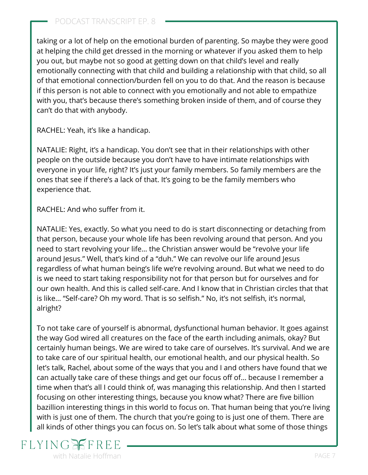taking or a lot of help on the emotional burden of parenting. So maybe they were good at helping the child get dressed in the morning or whatever if you asked them to help you out, but maybe not so good at getting down on that child's level and really emotionally connecting with that child and building a relationship with that child, so all of that emotional connection/burden fell on you to do that. And the reason is because if this person is not able to connect with you emotionally and not able to empathize with you, that's because there's something broken inside of them, and of course they can't do that with anybody.

RACHEL: Yeah, it's like a handicap.

NATALIE: Right, it's a handicap. You don't see that in their relationships with other people on the outside because you don't have to have intimate relationships with everyone in your life, right? It's just your family members. So family members are the ones that see if there's a lack of that. It's going to be the family members who experience that.

RACHEL: And who suffer from it.

NATALIE: Yes, exactly. So what you need to do is start disconnecting or detaching from that person, because your whole life has been revolving around that person. And you need to start revolving your life… the Christian answer would be "revolve your life around Jesus." Well, that's kind of a "duh." We can revolve our life around Jesus regardless of what human being's life we're revolving around. But what we need to do is we need to start taking responsibility not for that person but for ourselves and for our own health. And [this is called self-care.](https://www.flyingfreenow.com/19-2/) And I know that in Christian circles that that is like… "Self-care? Oh my word. That is so selfish." No, it's not selfish, it's normal, alright?

To not take care of yourself is abnormal, dysfunctional human behavior. It goes against the way God wired all creatures on the face of the earth including animals, okay? But certainly human beings. We are wired to take care of ourselves. It's survival. And we are to take care of our spiritual health, our emotional health, and our physical health. So let's talk, Rachel, about some of the ways that you and I and others have found that we can actually take care of these things and get our focus off of… because I remember a time when that's all I could think of, was managing this relationship. And then I started focusing on other interesting things, because you know what? There are five billion bazillion interesting things in this world to focus on. That human being that you're living with is just one of them. The church that you're going to is just one of them. There are all kinds of other things you can focus on. So let's talk about what some of those things

## **FLYING** with Natalie Hoffman **PAGE 7**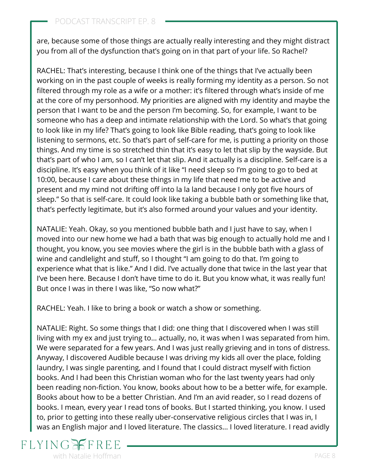are, because some of those things are actually really interesting and they might distract you from all of the dysfunction that's going on in that part of your life. So Rachel?

RACHEL: That's interesting, because I think one of the things that I've actually been working on in the past couple of weeks is really forming my identity as a person. So not filtered through my role as a wife or a mother: it's filtered through what's inside of me at the core of my personhood. My priorities are aligned with my identity and maybe the person that I want to be and the person I'm becoming. So, for example, I want to be someone who has a deep and intimate relationship with the Lord. So what's that going to look like in my life? That's going to look like Bible reading, that's going to look like listening to sermons, etc. So that's part of self-care for me, is putting a priority on those things. And my time is so stretched thin that it's easy to let that slip by the wayside. But that's part of who I am, so I can't let that slip. And it actually is a discipline. Self-care is a discipline. It's easy when you think of it like "I need sleep so I'm going to go to bed at 10:00, because I care about these things in my life that need me to be active and present and my mind not drifting off into la la land because I only got five hours of sleep." So that is self-care. It could look like taking a bubble bath or something like that, that's perfectly legitimate, but it's also formed around your values and your identity.

NATALIE: Yeah. Okay, so you mentioned bubble bath and I just have to say, when I moved into our new home we had a bath that was big enough to actually hold me and I thought, you know, you see movies where the girl is in the bubble bath with a glass of wine and candlelight and stuff, so I thought "I am going to do that. I'm going to experience what that is like." And I did. I've actually done that twice in the last year that I've been here. Because I don't have time to do it. But you know what, it was really fun! But once I was in there I was like, "So now what?"

RACHEL: Yeah. I like to bring a book or watch a show or something.

NATALIE: Right. So some things that I did: one thing that I discovered when I was still living with my ex and just trying to… actually, no, it was when I was separated from him. We were separated for a few years. And I was just really grieving and in tons of distress. Anyway, I discovered Audible because I was driving my kids all over the place, folding laundry, I was single parenting, and I found that I could distract myself with fiction books. And I had been this Christian woman who for the last twenty years had only been reading non-fiction. You know, books about how to be a better wife, for example. Books about how to be a better Christian. And I'm an avid reader, so I read dozens of books. I mean, every year I read tons of books. But I started thinking, you know. I used to, prior to getting into these really uber-conservative religious circles that I was in, I was an English major and I loved literature. The classics… I loved literature. I read avidly

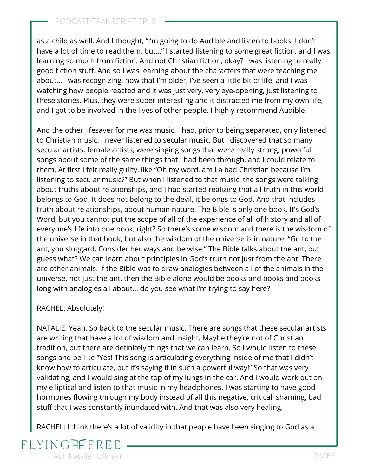### PODCAST TRANSCRIPT EP. 8

as a child as well. And I thought, "I'm going to do Audible and listen to books. I don't have a lot of time to read them, but…" I started listening to some great fiction, and I was learning so much from fiction. And not Christian fiction, okay? I was listening to really good fiction stuff. And so I was learning about the characters that were teaching me about… I was recognizing, now that I'm older, I've seen a little bit of life, and I was watching how people reacted and it was just very, very eye-opening, just listening to these stories. Plus, they were super interesting and it distracted me from my own life, and I got to be involved in the lives of other people. I highly recommend Audible.

And the other lifesaver for me was music. I had, prior to being separated, only listened to Christian music. I never listened to secular music. But I discovered that so many secular artists, female artists, were singing songs that were really strong, powerful songs about some of the same things that I had been through, and I could relate to them. At first I felt really guilty, like "Oh my word, am I a bad Christian because I'm listening to secular music?" But when I listened to that music, the songs were talking about truths about relationships, and I had started realizing that all truth in this world belongs to God. It does not belong to the devil, it belongs to God. And that includes truth about relationships, about human nature. The Bible is only one book. It's God's Word, but you cannot put the scope of all of the experience of all of history and all of everyone's life into one book, right? So there's some wisdom and there is the wisdom of the universe in that book, but also the wisdom of the universe is in nature. "Go to the ant, you sluggard. Consider her ways and be wise." The Bible talks about the ant, but guess what? We can learn about principles in God's truth not just from the ant. There are other animals. If the Bible was to draw analogies between all of the animals in the universe, not just the ant, then the Bible alone would be books and books and books long with analogies all about… do you see what I'm trying to say here?

#### RACHEL: Absolutely!

NATALIE: Yeah. So back to the secular music. There are songs that these secular artists are writing that have a lot of wisdom and insight. Maybe they're not of Christian tradition, but there are definitely things that we can learn. So I would listen to these songs and be like "Yes! This song is articulating everything inside of me that I didn't know how to articulate, but it's saying it in such a powerful way!" So that was very validating, and I would sing at the top of my lungs in the car. And I would work out on my elliptical and listen to that music in my headphones. I was starting to have good hormones flowing through my body instead of all this negative, critical, shaming, bad stuff that I was constantly inundated with. And that was also very healing.

RACHEL: I think there's a lot of validity in that people have been singing to God as a

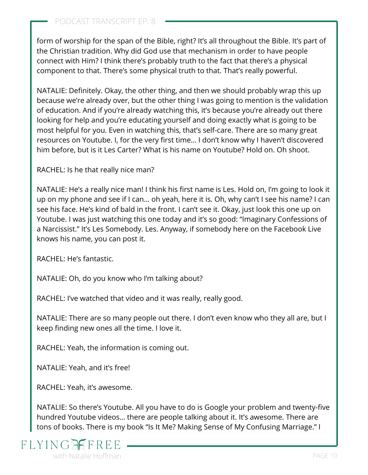form of worship for the span of the Bible, right? It's all throughout the Bible. It's part of the Christian tradition. Why did God use that mechanism in order to have people connect with Him? I think there's probably truth to the fact that there's a physical component to that. There's some physical truth to that. That's really powerful.

NATALIE: Definitely. Okay, the other thing, and then we should probably wrap this up because we're already over, but the other thing I was going to mention is the validation of education. And if you're already watching this, it's because you're already out there looking for help and you're educating yourself and doing exactly what is going to be most helpful for you. Even in watching this, that's self-care. There are so many great resources on Youtube. I, for the very first time… I don't know why I haven't discovered him before, but is it [Les Carter](https://drlescarter.com/)? What is his name on Youtube? Hold on. Oh shoot.

RACHEL: Is he that really nice man?

NATALIE: He's a really nice man! I think his first name is Les. Hold on, I'm going to look it up on my phone and see if I can… oh yeah, here it is. Oh, why can't I see his name? I can see his face. He's kind of bald in the front. I can't see it. Okay, just look this one up on [Youtube. I was just watching this one today and it's so good: "Imaginary Confessions of](https://drlescarter.com/the-imaginary-confessions-of-a-narcissist/) a Narcissist." It's Les Somebody. Les. Anyway, if somebody here on the Facebook Live knows his name, you can post it.

RACHEL: He's fantastic.

NATALIE: Oh, do you know who I'm talking about?

RACHEL: I've watched that video and it was really, really good.

NATALIE: There are so many people out there. I don't even know who they all are, but I keep finding new ones all the time. I love it.

RACHEL: Yeah, the information is coming out.

NATALIE: Yeah, and it's free!

RACHEL: Yeah, it's awesome.

NATALIE: So there's Youtube. All you have to do is Google your problem and twenty-five hundred Youtube videos… there are people talking about it. It's awesome. There are tons of books. There is my book "Is It Me? Making Sense of My Confusing Marriage." I